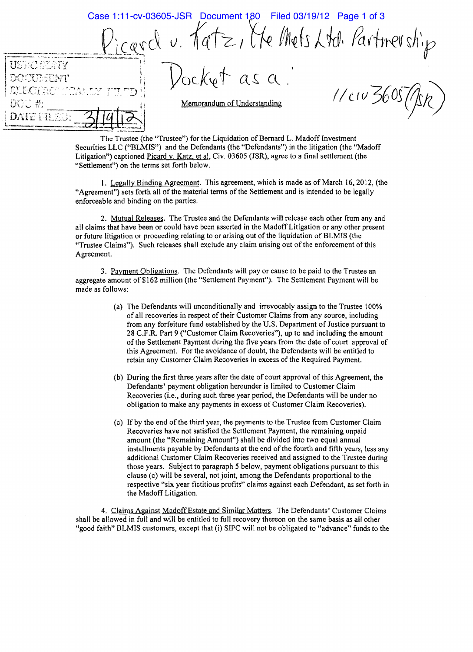Case 1:11-cv-03605-JSR Document 180 Filed 03/19/12 Page 1 of 3 $I_{\mathscr{A}}$ rd u. Katz, Me Mets Ltd. Partnership  $,79$  $a s a$ ENT  $1/e$   $v$   $360s$ Memorandum of Understanding **DATE FRUE** 

The Trustee (the "Trustee") for the Liquidation of Bernard L. Madoff Investment Securities LLC ("BLMIS") and the Defendants (the "Defendants") in the litigation (the "Madoff Litigation") captioned Picard v. Katz, et al, Civ. 03605 (JSR), agree to a final settlement (the "Settlement") on the terms set forth below.

I. Legally Binding Agreement. This agreement, which is made as of March 16,2012, (the "Agreement") sets forth all of the material terms of the Settlement and is intended to be legally enforceable and binding on the parties.

2. Mutual Releases. The Trustee and the Defendants will release each other from any and all claims that have been or could have been asserted in the Madoff Litigation or any other present or future litigation or proceeding relating to or arising out of the liquidation of BLMIS (the "Trustee Claims"). Such releases shall exclude any claim arising out of the enforcement of this Agreement.

3. Payment Obligations. The Defendants will payor cause to be paid to the Trustee an aggregate amount of \$162 million (the "Settlement Payment"). The Settlement Payment will be made as follows:

- (a) The Defendants will unconditionally and irrevocably assign to the Trustee 100% of all recoveries in respect of their Customer Claims from any source, including from any forfeiture fund established by the U.S. Department of Justice pursuant to 28 C.F.R. Part 9 ("Customer Claim Recoveries"), up to and including the amount ofthe Settlement Payment during the five years from the date of court approval of this Agreement. For the avoidance of doubt, the Defendants will be entitled to retain any Customer Claim Recoveries in excess of the Required Payment.
- (b) During the first three years after the date of court approval of this Agreement, the Defendants' payment obligation hereunder is limited to Customer Claim Recoveries (i.e., during such three year period, the Defendants will be under no obligation to make any payments in excess of Customer Claim Recoveries).
- (c) Ifby the end of the third year, the payments to the Trustee from Customer Claim Recoveries have not satisfied the Settlement Payment, the remaining unpaid amount (the "Remaining Amount") shall be divided into two equal annual installments payable by Defendants at the end of the fourth and fifth years, less any additional Customer Claim Recoveries received and assigned to the Trustee during those years. Subject to paragraph 5 below, payment obligations pursuant to this clause (c) will be several, not joint, among the Defendants proportional to the respective "six year fictitious profits" claims against each Defendant, as set forth in the Madoff Litigation.

4. Claims Against Madoff Estate and Similar Matters. The Defendants' Customer Claims shall be allowed in full and will be entitled to full recovery thereon on the same basis as all other "good faith" BLMIS customers, except that (i) SIPC will not be obligated to "advance" funds to the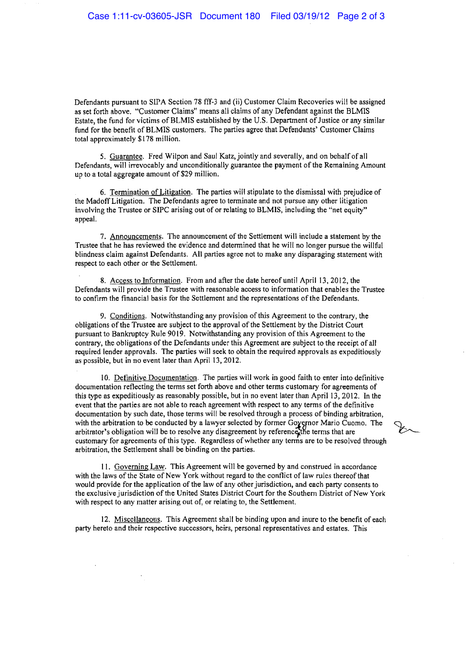Defendants pursuant to SIPA Section 78 fff-3 and (ii) Customer Claim Recoveries will be assigned as set forth above. "Customer Claims" means all claims of any Defendant against the BLMIS Estate, the fund for victims of BLMIS established by the U.S. Department of Justice or any similar fund for the benefit of BLMIS customers. The parties agree that Defendants' Customer Claims total approximately \$178 million.

5. Guarantee. Fred Wilpon and Saul Katz, jointly and severally, and on behalfof all Defendants, will irrevocably and unconditionally guarantee the payment of the Remaining Amount up to a total aggregate amount of \$29 million.

6. Termination of Litigation. The parties will stipulate to the dismissal with prejudice of the Madoff Litigation. The Defendants agree to terminate and not pursue any other litigation involving the Trustee or SIPC arising out of or relating to BLMIS, including the "net equity" appeal.

7. Announcements. The announcement of the Settlement will include a statement by the Trustee that he has reviewed the evidence and determined that he will no longer pursue the willful blindness claim against Defendants. All parties agree not to make any disparaging statement with respect to each other or the Settlement.

8. Access to Information. From and after the date hereof until April 13, 2012, the Defendants will provide the Trustee with reasonable access to information that enables the Trustee to confirm the financial basis for the Settlement and the representations ofthe Defendants.

9. Conditions. Notwithstanding any provision of this Agreement to the contrary, the obligations of the Trustee are subject to the approval ofthe Settlement by the District Court pursuant to Bankruptcy Rule 9019. Notwithstanding any provision of this Agreement to the contrary, the obligations of the Defendants under this Agreement are subject to the receipt of all required lender approvals. The parties will seek to obtain the required approvals as expeditiously as possible, but in no event later than April 13, 2012.

10. Definitive Documentation. The parties will work **in** good faith to enter into definitive documentation reflecting the terms set forth above and other terms customary for agreements of this type as expeditiously as reasonably possible, but in no event later than April 13,2012. In the event that the parties are not able to reach agreement with respect to any terms of the definitive documentation by such date, those terms will be resolved through a process of binding arbitration, with the arbitration to be conducted by a lawyer selected by former Governor Mario Cuomo. The  $\bigcirc$ , documentation by such date, those terms will be resolved through a process or binding arbitration,<br>with the arbitration to be conducted by a lawyer selected by former Governor Mario Cuomo. The<br>arbitrator's obligation will customary for agreements of this type. Regardless of whether any terms are to be resolved through arbitration, the Settlement shall be binding on the parties.

I I. Governing Law. This Agreement will be governed by and construed in accordance with the laws of the State of New York without regard to the conflict of law rules thereof that would provide for the application of the law of any other jurisdiction, and each party consents to the exclusive jurisdiction of the United States District Court for the Southern District of New York with respect to any matter arising out of, or relating to, the Settlement.

12. Miscellaneous. This Agreement shall be binding upon and inure to the benefit of each party hereto and their respective successors, heirs, personal representatives and estates. This